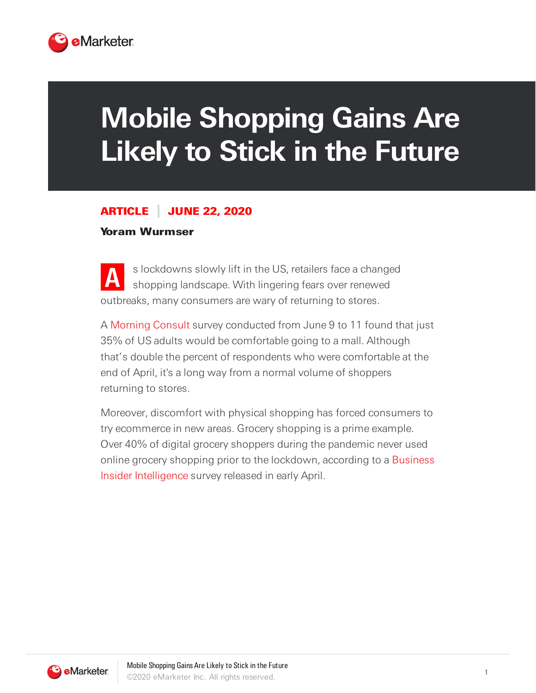

## **Mobile Shopping Gains Are Likely to Stick in the Future**

## ARTICLE JUNE 22, 2020

## Yoram Wurmser

**A** s lockdowns slowly lift in the US, retailers face a changed shopping landscape. With lingering fears over renewed outbreaks, many consumers are wary of returning to stores.

A [Morning](http://morningconsult.com/) Consult survey conducted from June 9 to 11 found that just 35% of US adults would be comfortable going to a mall. Although that's double the percent of respondents who were comfortable at the end of April, it's a long way from a normal volume of shoppers returning to stores.

Moreover, discomfort with physical shopping has forced consumers to try ecommerce in new areas. Grocery shopping is a prime example. Over 40% of digital grocery shoppers during the pandemic never used online grocery shopping prior to the lockdown, according to a Business Insider [Intelligence](https://www.insider-intelligence.com/bii/?_ga=2.230424412.1537251408.1592497936-157711477.1591711078) survey released in early April.

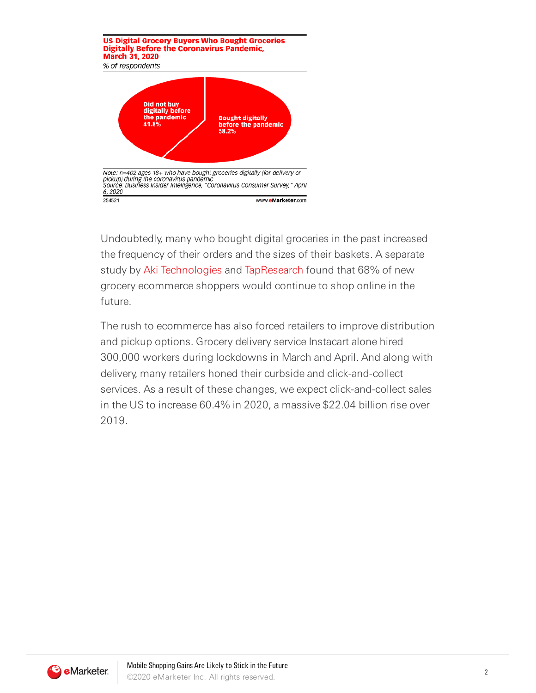

Undoubtedly, many who bought digital groceries in the past increased the frequency of their orders and the sizes of their baskets. A separate study by Aki [Technologies](https://www.a.ki/) and [TapResearch](https://www.tapresearch.com/) found that 68% of new grocery ecommerce shoppers would continue to shop online in the future.

The rush to ecommerce has also forced retailers to improve distribution and pickup options. Grocery delivery service Instacart alone hired 300,000 workers during lockdowns in March and April. And along with delivery, many retailers honed their curbside and click-and-collect services. As a result of these changes, we expect click-and-collect sales in the US to increase 60.4% in 2020, a massive \$22.04 billion rise over 2019.

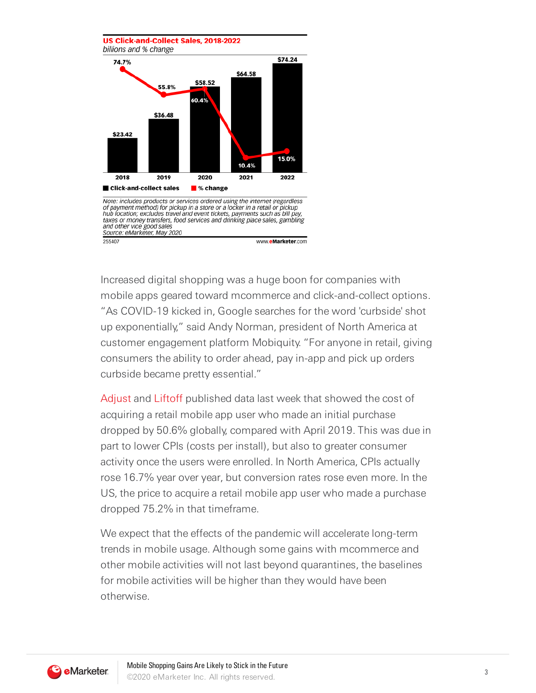

Increased digital shopping was a huge boon for companies with mobile apps geared toward mcommerce and click-and-collect options. "As COVID-19 kicked in, Google searches for the word 'curbside' shot up exponentially," said Andy Norman, president of North America at customer engagement platform Mobiquity. "For anyone in retail, giving consumers the ability to order ahead, pay in-app and pick up orders curbside became pretty essential."

[Adjust](https://www.adjust.com/) and [Liftoff](https://liftoff.io/) published data last week that showed the cost of acquiring a retail mobile app user who made an initial purchase dropped by 50.6% globally, compared with April 2019. This was due in part to lower CPIs (costs per install), but also to greater consumer activity once the users were enrolled. In North America, CPIs actually rose 16.7% year over year, but conversion rates rose even more. In the US, the price to acquire a retail mobile app user who made a purchase dropped 75.2% in that timeframe.

We expect that the effects of the pandemic will accelerate long-term trends in mobile usage. Although some gains with mcommerce and other mobile activities will not last beyond quarantines, the baselines for mobile activities will be higher than they would have been otherwise.

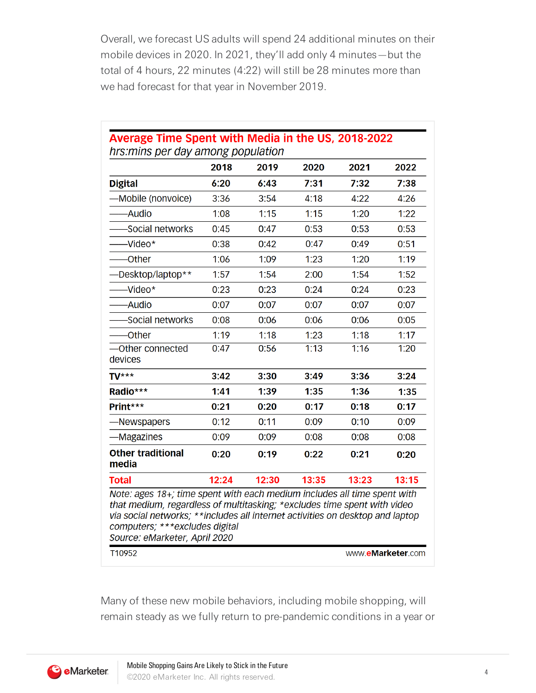Overall, we forecast US adults will spend 24 additional minutes on their mobile devices in 2020. In 2021, they'll add only 4 minutes—but the total of 4 hours, 22 minutes (4:22) will still be 28 minutes more than we had forecast for that year in November 2019.

 $\overline{a}$ 

|                                                                                                                                                                                                                                       | 2018  | 2019  | 2020  | 2021  | 2022  |
|---------------------------------------------------------------------------------------------------------------------------------------------------------------------------------------------------------------------------------------|-------|-------|-------|-------|-------|
| <b>Digital</b>                                                                                                                                                                                                                        | 6:20  | 6:43  | 7:31  | 7:32  | 7:38  |
| -Mobile (nonvoice)                                                                                                                                                                                                                    | 3:36  | 3:54  | 4:18  | 4:22  | 4:26  |
| -Audio                                                                                                                                                                                                                                | 1:08  | 1:15  | 1:15  | 1:20  | 1:22  |
| -Social networks                                                                                                                                                                                                                      | 0:45  | 0:47  | 0:53  | 0:53  | 0:53  |
| -Video*                                                                                                                                                                                                                               | 0:38  | 0:42  | 0:47  | 0:49  | 0:51  |
| -Other                                                                                                                                                                                                                                | 1:06  | 1:09  | 1:23  | 1:20  | 1:19  |
| -Desktop/laptop**                                                                                                                                                                                                                     | 1:57  | 1:54  | 2:00  | 1:54  | 1:52  |
| -Video*                                                                                                                                                                                                                               | 0:23  | 0:23  | 0:24  | 0:24  | 0:23  |
| -Audio                                                                                                                                                                                                                                | 0:07  | 0:07  | 0:07  | 0:07  | 0:07  |
| Social networks                                                                                                                                                                                                                       | 0:08  | 0:06  | 0:06  | 0:06  | 0:05  |
| -Other                                                                                                                                                                                                                                | 1:19  | 1:18  | 1:23  | 1:18  | 1:17  |
| -Other connected<br>devices                                                                                                                                                                                                           | 0:47  | 0:56  | 1:13  | 1:16  | 1:20  |
| $TV***$                                                                                                                                                                                                                               | 3:42  | 3:30  | 3:49  | 3:36  | 3:24  |
| Radio***                                                                                                                                                                                                                              | 1:41  | 1:39  | 1:35  | 1:36  | 1:35  |
| Print***                                                                                                                                                                                                                              | 0:21  | 0:20  | 0:17  | 0:18  | 0:17  |
| -Newspapers                                                                                                                                                                                                                           | 0:12  | 0:11  | 0:09  | 0:10  | 0:09  |
| -Magazines                                                                                                                                                                                                                            | 0:09  | 0:09  | 0:08  | 0:08  | 0:08  |
| <b>Other traditional</b><br>media                                                                                                                                                                                                     | 0:20  | 0:19  | 0:22  | 0:21  | 0:20  |
| <b>Total</b>                                                                                                                                                                                                                          | 12:24 | 12:30 | 13:35 | 13:23 | 13:15 |
| Note: ages 18+; time spent with each medium includes all time spent with<br>that medium, regardless of multitasking; *excludes time spent with video<br>via social networks; **includes all internet activities on desktop and laptop |       |       |       |       |       |

Many of these new mobile behaviors, including mobile shopping, will remain steady as we fully return to pre-pandemic conditions in a year or

**B** eMarketer.